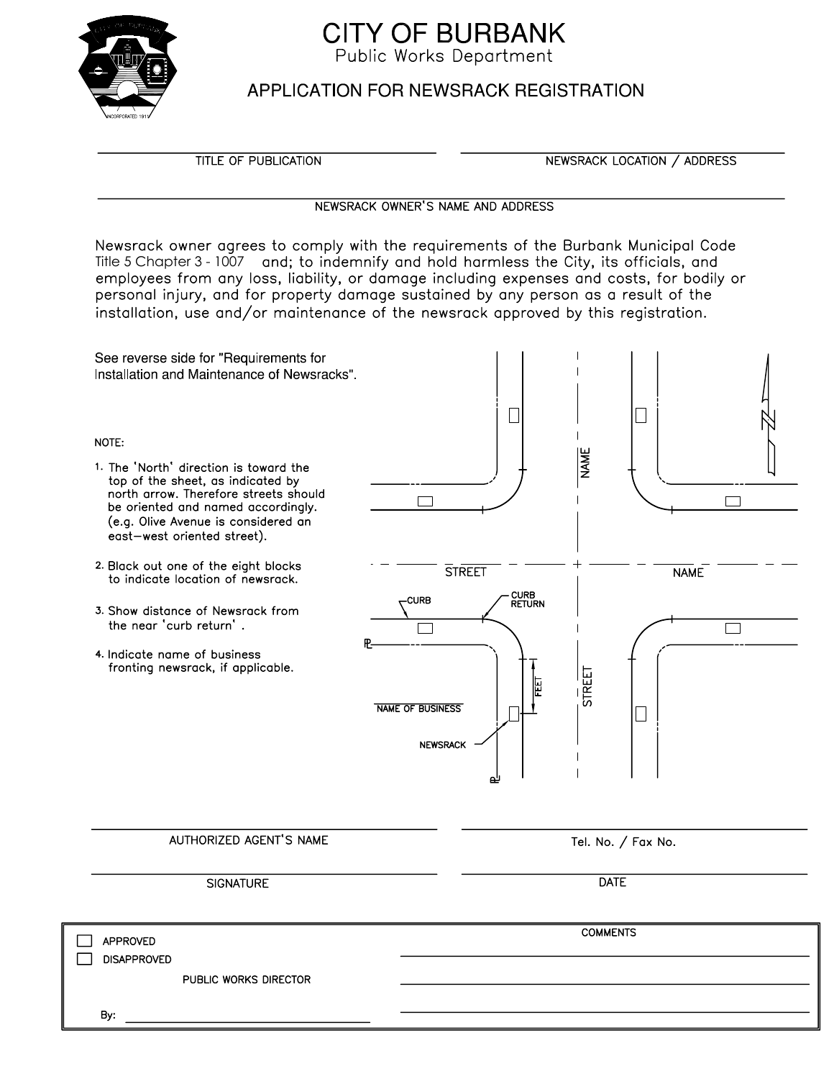

## **CITY OF BURBANK**

Public Works Department

## **APPLICATION FOR NEWSRACK REGISTRATION**

**TITLE OF PUBLICATION** 

NEWSRACK LOCATION / ADDRESS

## NEWSRACK OWNER'S NAME AND ADDRESS

Newsrack owner agrees to comply with the requirements of the Burbank Municipal Code Title 5 Chapter 3 - 1007 and; to indemnify and hold harmless the City, its officials, and employees from any loss, liability, or damage including expenses and costs, for bodily or personal injury, and for property damage sustained by any person as a result of the installation, use and/or maintenance of the newsrack approved by this registration.